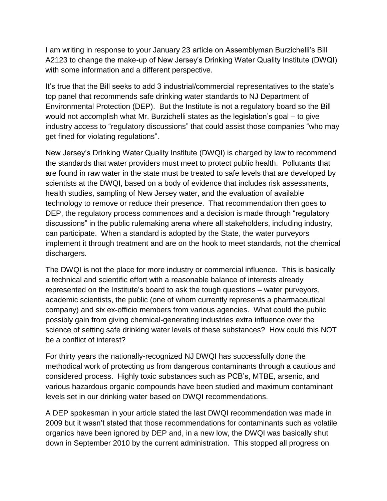I am writing in response to your January 23 article on Assemblyman Burzichelli's Bill A2123 to change the make-up of New Jersey's Drinking Water Quality Institute (DWQI) with some information and a different perspective.

It's true that the Bill seeks to add 3 industrial/commercial representatives to the state's top panel that recommends safe drinking water standards to NJ Department of Environmental Protection (DEP). But the Institute is not a regulatory board so the Bill would not accomplish what Mr. Burzichelli states as the legislation's goal – to give industry access to "regulatory discussions" that could assist those companies "who may get fined for violating regulations".

New Jersey's Drinking Water Quality Institute (DWQI) is charged by law to recommend the standards that water providers must meet to protect public health. Pollutants that are found in raw water in the state must be treated to safe levels that are developed by scientists at the DWQI, based on a body of evidence that includes risk assessments, health studies, sampling of New Jersey water, and the evaluation of available technology to remove or reduce their presence. That recommendation then goes to DEP, the regulatory process commences and a decision is made through "regulatory discussions" in the public rulemaking arena where all stakeholders, including industry, can participate. When a standard is adopted by the State, the water purveyors implement it through treatment and are on the hook to meet standards, not the chemical dischargers.

The DWQI is not the place for more industry or commercial influence. This is basically a technical and scientific effort with a reasonable balance of interests already represented on the Institute's board to ask the tough questions – water purveyors, academic scientists, the public (one of whom currently represents a pharmaceutical company) and six ex-officio members from various agencies. What could the public possibly gain from giving chemical-generating industries extra influence over the science of setting safe drinking water levels of these substances? How could this NOT be a conflict of interest?

For thirty years the nationally-recognized NJ DWQI has successfully done the methodical work of protecting us from dangerous contaminants through a cautious and considered process. Highly toxic substances such as PCB's, MTBE, arsenic, and various hazardous organic compounds have been studied and maximum contaminant levels set in our drinking water based on DWQI recommendations.

A DEP spokesman in your article stated the last DWQI recommendation was made in 2009 but it wasn't stated that those recommendations for contaminants such as volatile organics have been ignored by DEP and, in a new low, the DWQI was basically shut down in September 2010 by the current administration. This stopped all progress on